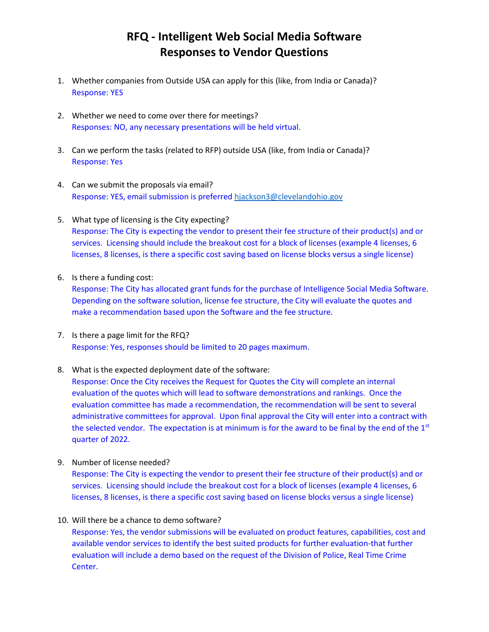## **RFQ - Intelligent Web Social Media Software Responses to Vendor Questions**

- 1. Whether companies from Outside USA can apply for this (like, from India or Canada)? Response: YES
- 2. Whether we need to come over there for meetings? Responses: NO, any necessary presentations will be held virtual.
- 3. Can we perform the tasks (related to RFP) outside USA (like, from India or Canada)? Response: Yes
- 4. Can we submit the proposals via email? Response: YES, email submission is preferre[d hjackson3@clevelandohio.gov](mailto:hjackson3@clevelandohio.gov)
- 5. What type of licensing is the City expecting? Response: The City is expecting the vendor to present their fee structure of their product(s) and or services. Licensing should include the breakout cost for a block of licenses (example 4 licenses, 6 licenses, 8 licenses, is there a specific cost saving based on license blocks versus a single license)
- 6. Is there a funding cost:

Response: The City has allocated grant funds for the purchase of Intelligence Social Media Software. Depending on the software solution, license fee structure, the City will evaluate the quotes and make a recommendation based upon the Software and the fee structure.

- 7. Is there a page limit for the RFQ? Response: Yes, responses should be limited to 20 pages maximum.
- 8. What is the expected deployment date of the software:

Response: Once the City receives the Request for Quotes the City will complete an internal evaluation of the quotes which will lead to software demonstrations and rankings. Once the evaluation committee has made a recommendation, the recommendation will be sent to several administrative committees for approval. Upon final approval the City will enter into a contract with the selected vendor. The expectation is at minimum is for the award to be final by the end of the  $1<sup>st</sup>$ quarter of 2022.

9. Number of license needed?

Response: The City is expecting the vendor to present their fee structure of their product(s) and or services. Licensing should include the breakout cost for a block of licenses (example 4 licenses, 6 licenses, 8 licenses, is there a specific cost saving based on license blocks versus a single license)

10. Will there be a chance to demo software?

Response: Yes, the vendor submissions will be evaluated on product features, capabilities, cost and available vendor services to identify the best suited products for further evaluation-that further evaluation will include a demo based on the request of the Division of Police, Real Time Crime Center.